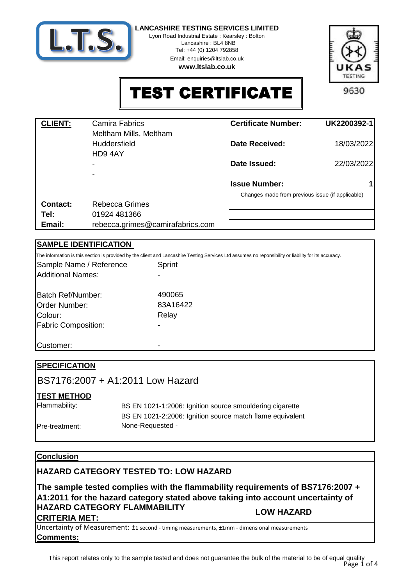

Lyon Road Industrial Estate : Kearsley : Bolton Lancashire : BL4 8NB

> Tel: +44 (0) 1204 792858 Email: enquiries@ltslab.co.uk

**www.ltslab.co.uk**



TEST CERTIFICATE

| <b>CLIENT:</b> | Camira Fabrics<br>Meltham Mills, Meltham | <b>Certificate Number:</b>                       | UK2200392-1 |
|----------------|------------------------------------------|--------------------------------------------------|-------------|
|                | <b>Huddersfield</b><br>HD94AY            | Date Received:                                   | 18/03/2022  |
|                | $\overline{\phantom{a}}$                 | Date Issued:                                     | 22/03/2022  |
|                |                                          |                                                  |             |
|                |                                          | <b>Issue Number:</b>                             | 1           |
|                |                                          | Changes made from previous issue (if applicable) |             |
| Contact:       | <b>Rebecca Grimes</b>                    |                                                  |             |
| Tel:           | 01924 481366                             |                                                  |             |
| Email:         | rebecca.grimes@camirafabrics.com         |                                                  |             |

## **SAMPLE IDENTIFICATION**

Batch Ref/Number: Sample Name / Reference Sprint 490065 The information is this section is provided by the client and Lancashire Testing Services Ltd assumes no reponsibility or liability for its accuracy. 422 Additional Names:

| Order Number:              | 83A164 |
|----------------------------|--------|
| Colour:                    | Relay  |
| <b>Fabric Composition:</b> |        |
| Customer:                  |        |

| <b>SPECIFICATION</b> |                                                           |  |
|----------------------|-----------------------------------------------------------|--|
|                      | BS7176:2007 + A1:2011 Low Hazard                          |  |
| <b>TEST METHOD</b>   |                                                           |  |
| Flammability:        | BS EN 1021-1:2006: Ignition source smouldering cigarette  |  |
|                      | BS EN 1021-2:2006: Ignition source match flame equivalent |  |
| Pre-treatment:       | None-Requested -                                          |  |

## **Conclusion**

## **HAZARD CATEGORY TESTED TO: LOW HAZARD**

**The sample tested complies with the flammability requirements of BS7176:2007 + A1:2011 for the hazard category stated above taking into account uncertainty of HAZARD CATEGORY FLAMMABILITY CRITERIA MET: LOW HAZARD**

**Comments:** Uncertainty of Measurement: ±1 second - timing measurements, ±1mm - dimensional measurements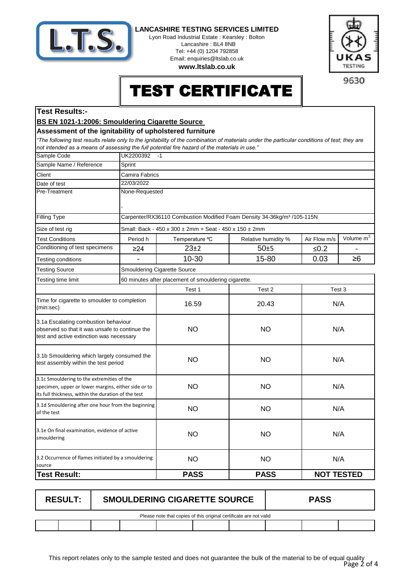

Lyon Road Industrial Estate : Kearsley : Bolton Lancashire : BL4 8NB Tel: +44 (0) 1204 792858 Email: enquiries@ltslab.co.uk

**TESTING** 

9630

**www.ltslab.co.uk**

# TEST CERTIFICATE

### **Test Results:-**

### **BS EN 1021-1:2006: Smouldering Cigarette Source**

#### **Assessment of the ignitability of upholstered furniture**

*"The following test results relate only to the ignitability of the combination of materials under the particular conditions of test; they are not intended as a means of assessing the full potential fire hazard of the materials in use."*

| Sprint<br>Camira Fabrics<br>Client<br>22/03/2022<br>Date of test<br>Pre-Treatment<br>None-Requested<br>Carpenter/RX36110 Combustion Modified Foam Density 34-36kg/m <sup>3</sup> /105-115N<br>Filling Type<br>Size of test rig<br>Small: Back - 450 x 300 ± 2mm + Seat - 450 x 150 ± 2mm<br>Period h<br>Temperature °C<br>Air Flow m/s<br><b>Test Conditions</b><br>Relative humidity %<br>Conditioning of test specimens<br>$23+2$<br>$50+5$<br>$≤0.2$<br>≥24<br>10-30<br>15-80<br>0.03<br>≥6<br>Testing conditions<br><b>Testing Source</b><br>Smouldering Cigarette Source<br>60 minutes after placement of smouldering cigarette.<br>Testing time limit<br>Test 1<br>Test 2<br>Test 3<br>Time for cigarette to smoulder to completion<br>16.59<br>20.43<br>N/A<br>(min:sec)<br>3.1a Escalating combustion behaviour<br><b>NO</b><br><b>NO</b><br>N/A<br>observed so that it was unsafe to continue the<br>test and active extinction was necessary<br>3.1b Smouldering which largely consumed the<br>N/A<br><b>NO</b><br><b>NO</b><br>test assembly within the test period<br>3.1c Smouldering to the extremities of the<br><b>NO</b><br>N/A<br><b>NO</b><br>specimen, upper or lower margins, either side or to<br>its full thickness, within the duration of the test<br>3.1d Smouldering after one hour from the beginning<br>N/A<br><b>NO</b><br><b>NO</b><br>of the test<br>3.1e On final examination, evidence of active<br>N/A<br><b>NO</b><br><b>NO</b><br>smouldering<br>3.2 Occurrence of flames initiated by a smouldering<br><b>NO</b><br><b>NO</b><br>N/A<br>source<br><b>PASS</b><br><b>NOT TESTED</b><br><b>Test Result:</b><br><b>PASS</b> | Sample Code             | UK2200392<br>$-1$ |  |  |  |              |
|----------------------------------------------------------------------------------------------------------------------------------------------------------------------------------------------------------------------------------------------------------------------------------------------------------------------------------------------------------------------------------------------------------------------------------------------------------------------------------------------------------------------------------------------------------------------------------------------------------------------------------------------------------------------------------------------------------------------------------------------------------------------------------------------------------------------------------------------------------------------------------------------------------------------------------------------------------------------------------------------------------------------------------------------------------------------------------------------------------------------------------------------------------------------------------------------------------------------------------------------------------------------------------------------------------------------------------------------------------------------------------------------------------------------------------------------------------------------------------------------------------------------------------------------------------------------------------------------------------------------------------------------------------------|-------------------------|-------------------|--|--|--|--------------|
|                                                                                                                                                                                                                                                                                                                                                                                                                                                                                                                                                                                                                                                                                                                                                                                                                                                                                                                                                                                                                                                                                                                                                                                                                                                                                                                                                                                                                                                                                                                                                                                                                                                                | Sample Name / Reference |                   |  |  |  |              |
|                                                                                                                                                                                                                                                                                                                                                                                                                                                                                                                                                                                                                                                                                                                                                                                                                                                                                                                                                                                                                                                                                                                                                                                                                                                                                                                                                                                                                                                                                                                                                                                                                                                                |                         |                   |  |  |  |              |
|                                                                                                                                                                                                                                                                                                                                                                                                                                                                                                                                                                                                                                                                                                                                                                                                                                                                                                                                                                                                                                                                                                                                                                                                                                                                                                                                                                                                                                                                                                                                                                                                                                                                |                         |                   |  |  |  |              |
|                                                                                                                                                                                                                                                                                                                                                                                                                                                                                                                                                                                                                                                                                                                                                                                                                                                                                                                                                                                                                                                                                                                                                                                                                                                                                                                                                                                                                                                                                                                                                                                                                                                                |                         |                   |  |  |  |              |
|                                                                                                                                                                                                                                                                                                                                                                                                                                                                                                                                                                                                                                                                                                                                                                                                                                                                                                                                                                                                                                                                                                                                                                                                                                                                                                                                                                                                                                                                                                                                                                                                                                                                |                         |                   |  |  |  |              |
|                                                                                                                                                                                                                                                                                                                                                                                                                                                                                                                                                                                                                                                                                                                                                                                                                                                                                                                                                                                                                                                                                                                                                                                                                                                                                                                                                                                                                                                                                                                                                                                                                                                                |                         |                   |  |  |  |              |
|                                                                                                                                                                                                                                                                                                                                                                                                                                                                                                                                                                                                                                                                                                                                                                                                                                                                                                                                                                                                                                                                                                                                                                                                                                                                                                                                                                                                                                                                                                                                                                                                                                                                |                         |                   |  |  |  |              |
|                                                                                                                                                                                                                                                                                                                                                                                                                                                                                                                                                                                                                                                                                                                                                                                                                                                                                                                                                                                                                                                                                                                                                                                                                                                                                                                                                                                                                                                                                                                                                                                                                                                                |                         |                   |  |  |  | Volume $m^3$ |
|                                                                                                                                                                                                                                                                                                                                                                                                                                                                                                                                                                                                                                                                                                                                                                                                                                                                                                                                                                                                                                                                                                                                                                                                                                                                                                                                                                                                                                                                                                                                                                                                                                                                |                         |                   |  |  |  |              |
|                                                                                                                                                                                                                                                                                                                                                                                                                                                                                                                                                                                                                                                                                                                                                                                                                                                                                                                                                                                                                                                                                                                                                                                                                                                                                                                                                                                                                                                                                                                                                                                                                                                                |                         |                   |  |  |  |              |
|                                                                                                                                                                                                                                                                                                                                                                                                                                                                                                                                                                                                                                                                                                                                                                                                                                                                                                                                                                                                                                                                                                                                                                                                                                                                                                                                                                                                                                                                                                                                                                                                                                                                |                         |                   |  |  |  |              |
|                                                                                                                                                                                                                                                                                                                                                                                                                                                                                                                                                                                                                                                                                                                                                                                                                                                                                                                                                                                                                                                                                                                                                                                                                                                                                                                                                                                                                                                                                                                                                                                                                                                                |                         |                   |  |  |  |              |
|                                                                                                                                                                                                                                                                                                                                                                                                                                                                                                                                                                                                                                                                                                                                                                                                                                                                                                                                                                                                                                                                                                                                                                                                                                                                                                                                                                                                                                                                                                                                                                                                                                                                |                         |                   |  |  |  |              |
|                                                                                                                                                                                                                                                                                                                                                                                                                                                                                                                                                                                                                                                                                                                                                                                                                                                                                                                                                                                                                                                                                                                                                                                                                                                                                                                                                                                                                                                                                                                                                                                                                                                                |                         |                   |  |  |  |              |
|                                                                                                                                                                                                                                                                                                                                                                                                                                                                                                                                                                                                                                                                                                                                                                                                                                                                                                                                                                                                                                                                                                                                                                                                                                                                                                                                                                                                                                                                                                                                                                                                                                                                |                         |                   |  |  |  |              |
|                                                                                                                                                                                                                                                                                                                                                                                                                                                                                                                                                                                                                                                                                                                                                                                                                                                                                                                                                                                                                                                                                                                                                                                                                                                                                                                                                                                                                                                                                                                                                                                                                                                                |                         |                   |  |  |  |              |
|                                                                                                                                                                                                                                                                                                                                                                                                                                                                                                                                                                                                                                                                                                                                                                                                                                                                                                                                                                                                                                                                                                                                                                                                                                                                                                                                                                                                                                                                                                                                                                                                                                                                |                         |                   |  |  |  |              |
|                                                                                                                                                                                                                                                                                                                                                                                                                                                                                                                                                                                                                                                                                                                                                                                                                                                                                                                                                                                                                                                                                                                                                                                                                                                                                                                                                                                                                                                                                                                                                                                                                                                                |                         |                   |  |  |  |              |
|                                                                                                                                                                                                                                                                                                                                                                                                                                                                                                                                                                                                                                                                                                                                                                                                                                                                                                                                                                                                                                                                                                                                                                                                                                                                                                                                                                                                                                                                                                                                                                                                                                                                |                         |                   |  |  |  |              |
|                                                                                                                                                                                                                                                                                                                                                                                                                                                                                                                                                                                                                                                                                                                                                                                                                                                                                                                                                                                                                                                                                                                                                                                                                                                                                                                                                                                                                                                                                                                                                                                                                                                                |                         |                   |  |  |  |              |
|                                                                                                                                                                                                                                                                                                                                                                                                                                                                                                                                                                                                                                                                                                                                                                                                                                                                                                                                                                                                                                                                                                                                                                                                                                                                                                                                                                                                                                                                                                                                                                                                                                                                |                         |                   |  |  |  |              |

| <b>RESULT:</b>                                                     | <b>SMOULDERING CIGARETTE SOURCE</b> |  |  |  |  | <b>PASS</b> |  |  |
|--------------------------------------------------------------------|-------------------------------------|--|--|--|--|-------------|--|--|
| Please note that copies of this original certificate are not valid |                                     |  |  |  |  |             |  |  |
|                                                                    |                                     |  |  |  |  |             |  |  |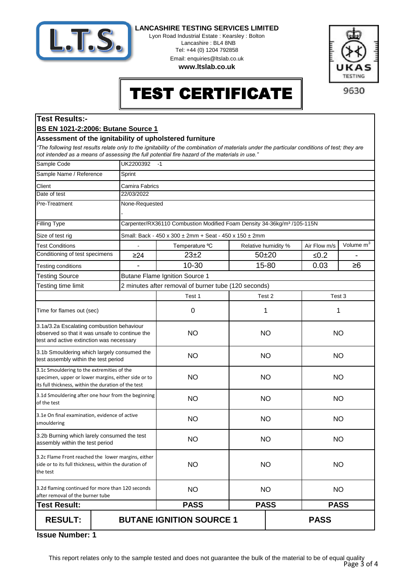

Lyon Road Industrial Estate : Kearsley : Bolton Lancashire : BL4 8NB Tel: +44 (0) 1204 792858 Email: enquiries@ltslab.co.uk

**www.ltslab.co.uk**



## TEST CERTIFICATE

## **Test Results:-**

#### **BS EN 1021-2:2006: Butane Source 1**

#### **Assessment of the ignitability of upholstered furniture**

*"The following test results relate only to the ignitability of the combination of materials under the particular conditions of test; they are not intended as a means of assessing the full potential fire hazard of the materials in use."*

| Sample Code                                                                                                                                              | UK2200392<br>$-1$ |                                                                                     |                            |  |              |                       |
|----------------------------------------------------------------------------------------------------------------------------------------------------------|-------------------|-------------------------------------------------------------------------------------|----------------------------|--|--------------|-----------------------|
| Sample Name / Reference                                                                                                                                  | Sprint            |                                                                                     |                            |  |              |                       |
| Client                                                                                                                                                   | Camira Fabrics    |                                                                                     |                            |  |              |                       |
| Date of test                                                                                                                                             | 22/03/2022        |                                                                                     |                            |  |              |                       |
| Pre-Treatment                                                                                                                                            | None-Requested    |                                                                                     |                            |  |              |                       |
|                                                                                                                                                          |                   |                                                                                     |                            |  |              |                       |
| Filling Type                                                                                                                                             |                   | Carpenter/RX36110 Combustion Modified Foam Density 34-36kg/m <sup>3</sup> /105-115N |                            |  |              |                       |
| Size of test rig                                                                                                                                         |                   | Small: Back - 450 x 300 ± 2mm + Seat - 450 x 150 ± 2mm                              |                            |  |              |                       |
| <b>Test Conditions</b>                                                                                                                                   |                   | Temperature °C                                                                      | Relative humidity %        |  | Air Flow m/s | Volume m <sup>3</sup> |
| Conditioning of test specimens                                                                                                                           | $\geq$ 24         | $23\pm2$                                                                            | $50 + 20$                  |  | ≤ $0.2$      |                       |
| Testing conditions                                                                                                                                       |                   | 10-30                                                                               | 15-80                      |  | 0.03         | $\geq 6$              |
| <b>Testing Source</b>                                                                                                                                    |                   | <b>Butane Flame Ignition Source 1</b>                                               |                            |  |              |                       |
| Testing time limit                                                                                                                                       |                   | 2 minutes after removal of burner tube (120 seconds)                                |                            |  |              |                       |
|                                                                                                                                                          |                   | Test 1                                                                              | Test 2                     |  | Test 3       |                       |
| Time for flames out (sec)                                                                                                                                |                   | 0                                                                                   | 1                          |  | 1            |                       |
| 3.1a/3.2a Escalating combustion behaviour<br>observed so that it was unsafe to continue the<br>test and active extinction was necessary                  |                   | <b>NO</b>                                                                           | <b>NO</b>                  |  | <b>NO</b>    |                       |
| 3.1b Smouldering which largely consumed the<br>test assembly within the test period                                                                      |                   | <b>NO</b>                                                                           | <b>NO</b>                  |  | <b>NO</b>    |                       |
| 3.1c Smouldering to the extremities of the<br>specimen, upper or lower margins, either side or to<br>its full thickness, within the duration of the test |                   | <b>NO</b>                                                                           | <b>NO</b>                  |  | <b>NO</b>    |                       |
| 3.1d Smouldering after one hour from the beginning<br>of the test                                                                                        |                   | <b>NO</b>                                                                           | <b>NO</b>                  |  | <b>NO</b>    |                       |
| 3.1e On final examination, evidence of active<br>smouldering                                                                                             |                   | <b>NO</b>                                                                           | <b>NO</b>                  |  | <b>NO</b>    |                       |
| 3.2b Burning which larely consumed the test<br>assembly within the test period                                                                           |                   | <b>NO</b>                                                                           | <b>NO</b>                  |  | <b>NO</b>    |                       |
| 3.2c Flame Front reached the lower margins, either<br>side or to its full thickness, within the duration of<br>the test                                  |                   | <b>NO</b>                                                                           | <b>NO</b>                  |  | <b>NO</b>    |                       |
| 3.2d flaming continued for more than 120 seconds<br>after removal of the burner tube                                                                     |                   | <b>NO</b>                                                                           | <b>NO</b>                  |  | <b>NO</b>    |                       |
| <b>Test Result:</b>                                                                                                                                      |                   | <b>PASS</b>                                                                         | <b>PASS</b><br><b>PASS</b> |  |              |                       |
| <b>RESULT:</b>                                                                                                                                           |                   | <b>BUTANE IGNITION SOURCE 1</b>                                                     |                            |  | <b>PASS</b>  |                       |

**1 Issue Number:**